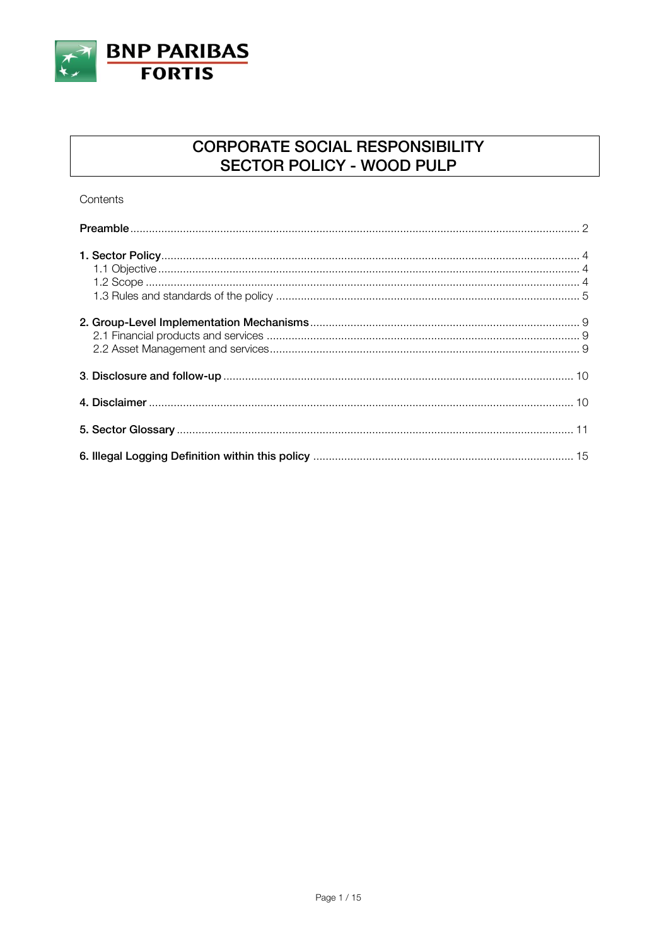

## **CORPORATE SOCIAL RESPONSIBILITY** SECTOR POLICY - WOOD PULP

Contents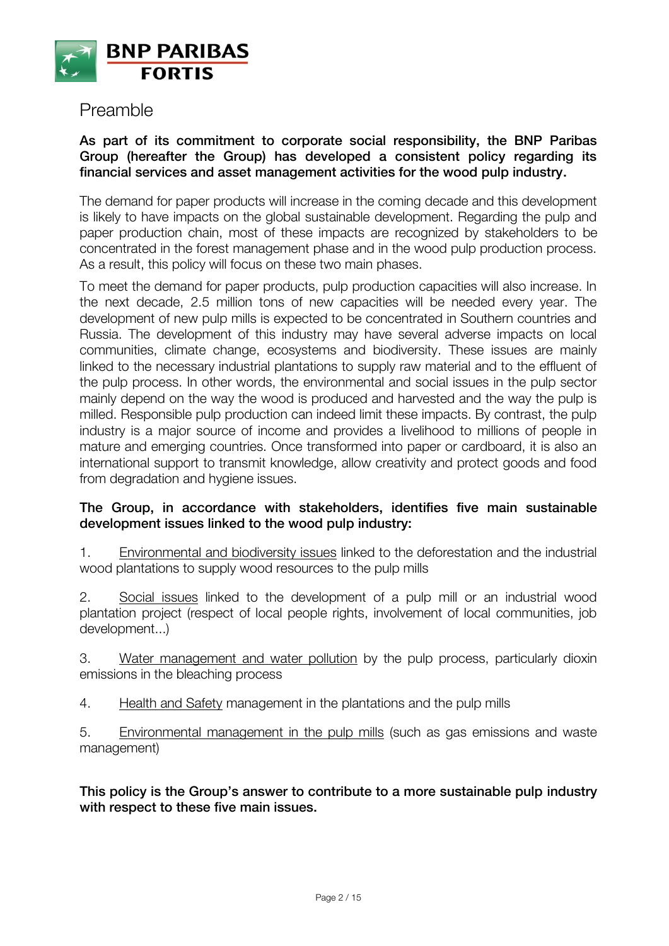

## Preamble

#### **As part of its commitment to corporate social responsibility, the BNP Paribas Group (hereafter the Group) has developed a consistent policy regarding its financial services and asset management activities for the wood pulp industry.**

The demand for paper products will increase in the coming decade and this development is likely to have impacts on the global sustainable development. Regarding the pulp and paper production chain, most of these impacts are recognized by stakeholders to be concentrated in the forest management phase and in the wood pulp production process. As a result, this policy will focus on these two main phases.

To meet the demand for paper products, pulp production capacities will also increase. In the next decade, 2.5 million tons of new capacities will be needed every year. The development of new pulp mills is expected to be concentrated in Southern countries and Russia. The development of this industry may have several adverse impacts on local communities, climate change, ecosystems and biodiversity. These issues are mainly linked to the necessary industrial plantations to supply raw material and to the effluent of the pulp process. In other words, the environmental and social issues in the pulp sector mainly depend on the way the wood is produced and harvested and the way the pulp is milled. Responsible pulp production can indeed limit these impacts. By contrast, the pulp industry is a major source of income and provides a livelihood to millions of people in mature and emerging countries. Once transformed into paper or cardboard, it is also an international support to transmit knowledge, allow creativity and protect goods and food from degradation and hygiene issues.

#### **The Group, in accordance with stakeholders, identifies five main sustainable development issues linked to the wood pulp industry:**

1. Environmental and biodiversity issues linked to the deforestation and the industrial wood plantations to supply wood resources to the pulp mills

2. Social issues linked to the development of a pulp mill or an industrial wood plantation project (respect of local people rights, involvement of local communities, job development...)

3. Water management and water pollution by the pulp process, particularly dioxin emissions in the bleaching process

4. Health and Safety management in the plantations and the pulp mills

5. Environmental management in the pulp mills (such as gas emissions and waste management)

**This policy is the Group's answer to contribute to a more sustainable pulp industry with respect to these five main issues.**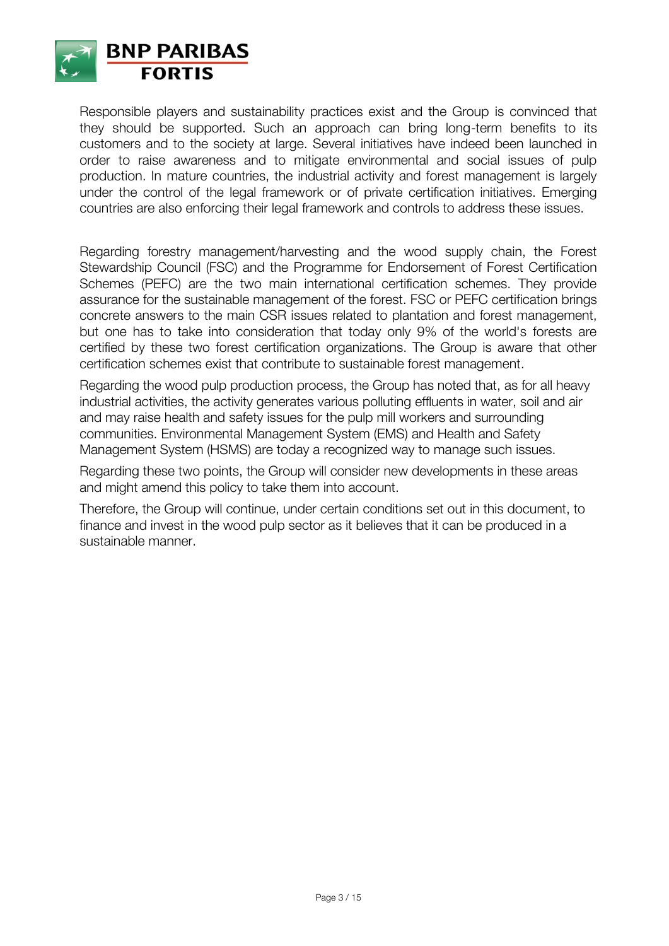

Responsible players and sustainability practices exist and the Group is convinced that they should be supported. Such an approach can bring long-term benefits to its customers and to the society at large. Several initiatives have indeed been launched in order to raise awareness and to mitigate environmental and social issues of pulp production. In mature countries, the industrial activity and forest management is largely under the control of the legal framework or of private certification initiatives. Emerging countries are also enforcing their legal framework and controls to address these issues.

Regarding forestry management/harvesting and the wood supply chain, the Forest Stewardship Council (FSC) and the Programme for Endorsement of Forest Certification Schemes (PEFC) are the two main international certification schemes. They provide assurance for the sustainable management of the forest. FSC or PEFC certification brings concrete answers to the main CSR issues related to plantation and forest management, but one has to take into consideration that today only 9% of the world's forests are certified by these two forest certification organizations. The Group is aware that other certification schemes exist that contribute to sustainable forest management.

Regarding the wood pulp production process, the Group has noted that, as for all heavy industrial activities, the activity generates various polluting effluents in water, soil and air and may raise health and safety issues for the pulp mill workers and surrounding communities. Environmental Management System (EMS) and Health and Safety Management System (HSMS) are today a recognized way to manage such issues.

Regarding these two points, the Group will consider new developments in these areas and might amend this policy to take them into account.

Therefore, the Group will continue, under certain conditions set out in this document, to finance and invest in the wood pulp sector as it believes that it can be produced in a sustainable manner.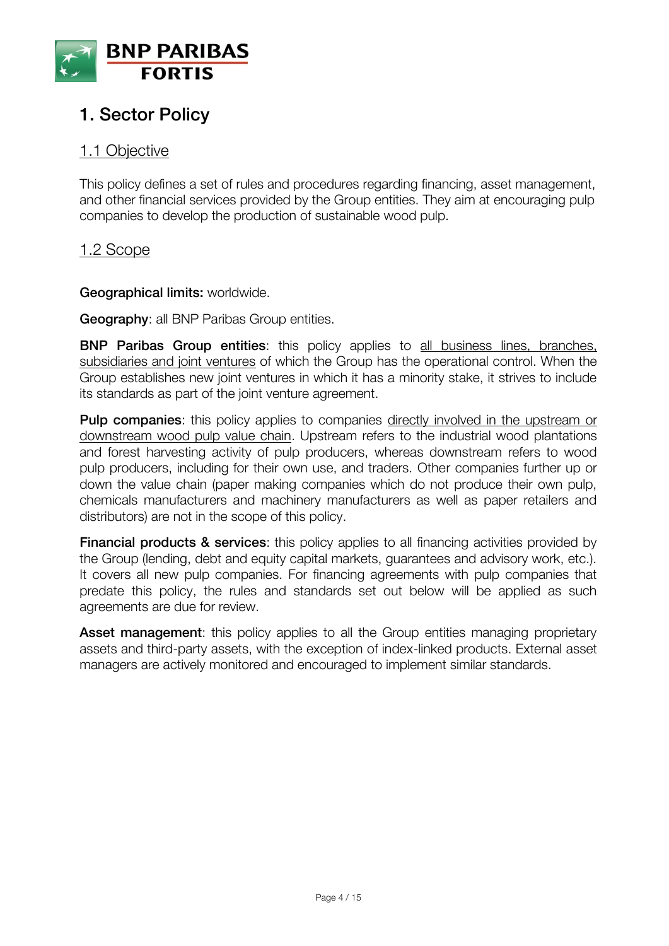

# **1. Sector Policy**

### 1.1 Objective

This policy defines a set of rules and procedures regarding financing, asset management, and other financial services provided by the Group entities. They aim at encouraging pulp companies to develop the production of sustainable wood pulp.

### 1.2 Scope

**Geographical limits:** worldwide.

**Geography**: all BNP Paribas Group entities.

**BNP Paribas Group entities**: this policy applies to all business lines, branches, subsidiaries and joint ventures of which the Group has the operational control. When the Group establishes new joint ventures in which it has a minority stake, it strives to include its standards as part of the joint venture agreement.

**Pulp companies:** this policy applies to companies directly involved in the upstream or downstream wood pulp value chain. Upstream refers to the industrial wood plantations and forest harvesting activity of pulp producers, whereas downstream refers to wood pulp producers, including for their own use, and traders. Other companies further up or down the value chain (paper making companies which do not produce their own pulp, chemicals manufacturers and machinery manufacturers as well as paper retailers and distributors) are not in the scope of this policy.

**Financial products & services**: this policy applies to all financing activities provided by the Group (lending, debt and equity capital markets, guarantees and advisory work, etc.). It covers all new pulp companies. For financing agreements with pulp companies that predate this policy, the rules and standards set out below will be applied as such agreements are due for review.

**Asset management**: this policy applies to all the Group entities managing proprietary assets and third-party assets, with the exception of index-linked products. External asset managers are actively monitored and encouraged to implement similar standards.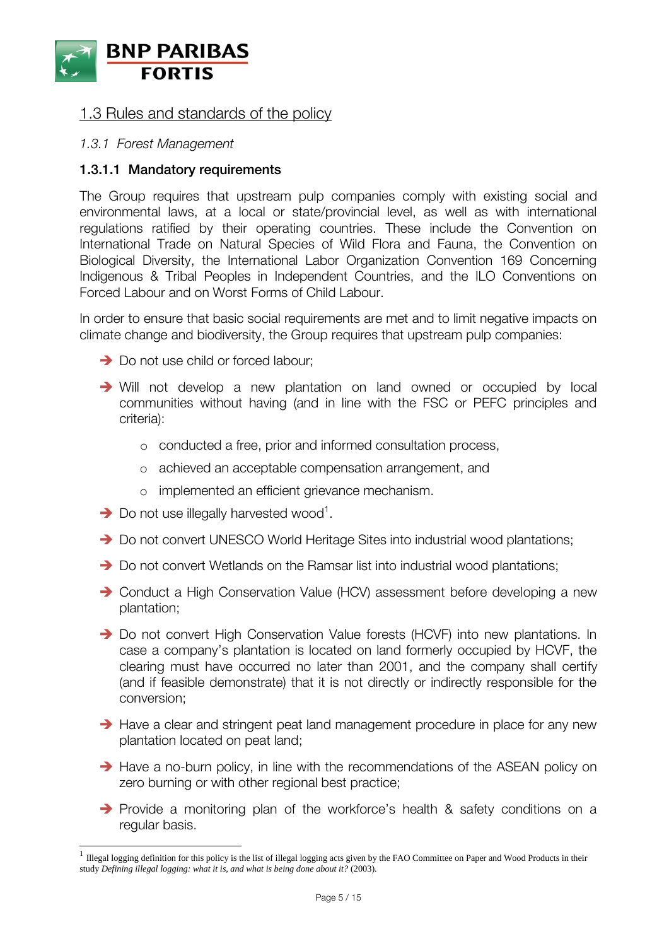

### 1.3 Rules and standards of the policy

#### *1.3.1 Forest Management*

#### **1.3.1.1 Mandatory requirements**

The Group requires that upstream pulp companies comply with existing social and environmental laws, at a local or state/provincial level, as well as with international regulations ratified by their operating countries. These include the Convention on International Trade on Natural Species of Wild Flora and Fauna, the Convention on Biological Diversity, the International Labor Organization Convention 169 Concerning Indigenous & Tribal Peoples in Independent Countries, and the ILO Conventions on Forced Labour and on Worst Forms of Child Labour.

In order to ensure that basic social requirements are met and to limit negative impacts on climate change and biodiversity, the Group requires that upstream pulp companies:

- → Do not use child or forced labour;
- Will not develop a new plantation on land owned or occupied by local communities without having (and in line with the FSC or PEFC principles and criteria):
	- o conducted a free, prior and informed consultation process,
	- o achieved an acceptable compensation arrangement, and
	- o implemented an efficient grievance mechanism.
- $\rightarrow$  Do not use illegally harvested wood<sup>1</sup>.

- Do not convert UNESCO World Heritage Sites into industrial wood plantations;
- → Do not convert Wetlands on the Ramsar list into industrial wood plantations;
- → Conduct a High Conservation Value (HCV) assessment before developing a new plantation;
- → Do not convert High Conservation Value forests (HCVF) into new plantations. In case a company's plantation is located on land formerly occupied by HCVF, the clearing must have occurred no later than 2001, and the company shall certify (and if feasible demonstrate) that it is not directly or indirectly responsible for the conversion;
- $\rightarrow$  Have a clear and stringent peat land management procedure in place for any new plantation located on peat land;
- $\rightarrow$  Have a no-burn policy, in line with the recommendations of the ASEAN policy on zero burning or with other regional best practice;
- Provide a monitoring plan of the workforce's health & safety conditions on a regular basis.

 $<sup>1</sup>$  Illegal logging definition for this policy is the list of illegal logging acts given by the FAO Committee on Paper and Wood Products in their</sup> study *Defining illegal logging: what it is, and what is being done about it?* (2003).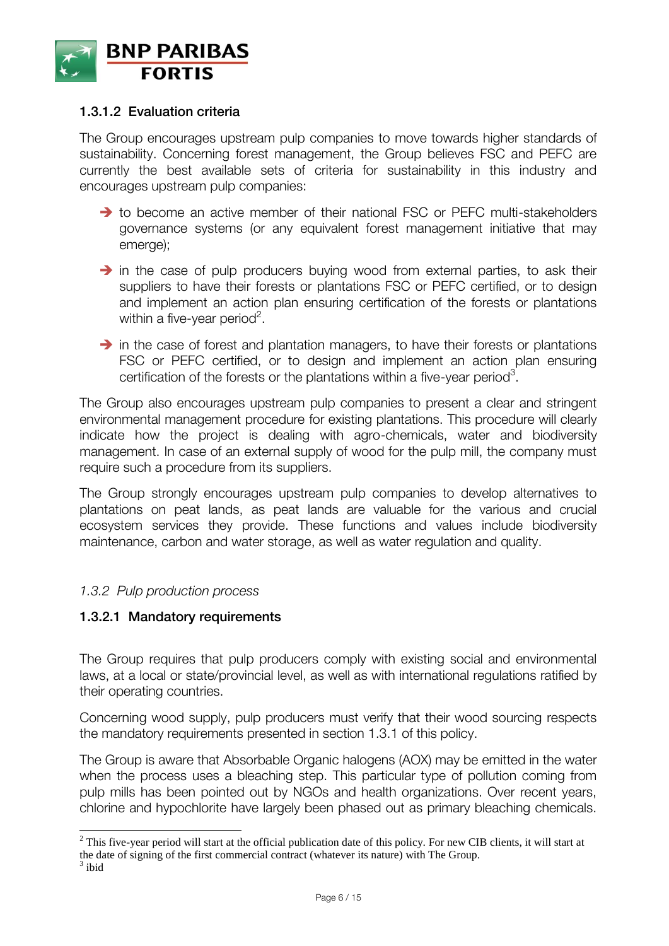

#### **1.3.1.2 Evaluation criteria**

The Group encourages upstream pulp companies to move towards higher standards of sustainability. Concerning forest management, the Group believes FSC and PEFC are currently the best available sets of criteria for sustainability in this industry and encourages upstream pulp companies:

- $\rightarrow$  to become an active member of their national FSC or PEFC multi-stakeholders governance systems (or any equivalent forest management initiative that may emerge);
- $\rightarrow$  in the case of pulp producers buying wood from external parties, to ask their suppliers to have their forests or plantations FSC or PEFC certified, or to design and implement an action plan ensuring certification of the forests or plantations within a five-year period<sup>2</sup>.
- $\rightarrow$  in the case of forest and plantation managers, to have their forests or plantations FSC or PEFC certified, or to design and implement an action plan ensuring certification of the forests or the plantations within a five-year period<sup>3</sup>.

The Group also encourages upstream pulp companies to present a clear and stringent environmental management procedure for existing plantations. This procedure will clearly indicate how the project is dealing with agro-chemicals, water and biodiversity management. In case of an external supply of wood for the pulp mill, the company must require such a procedure from its suppliers.

The Group strongly encourages upstream pulp companies to develop alternatives to plantations on peat lands, as peat lands are valuable for the various and crucial ecosystem services they provide. These functions and values include biodiversity maintenance, carbon and water storage, as well as water regulation and quality.

#### *1.3.2 Pulp production process*

 $\overline{a}$ 

#### **1.3.2.1 Mandatory requirements**

The Group requires that pulp producers comply with existing social and environmental laws, at a local or state/provincial level, as well as with international regulations ratified by their operating countries.

Concerning wood supply, pulp producers must verify that their wood sourcing respects the mandatory requirements presented in section 1.3.1 of this policy.

The Group is aware that Absorbable Organic halogens (AOX) may be emitted in the water when the process uses a bleaching step. This particular type of pollution coming from pulp mills has been pointed out by NGOs and health organizations. Over recent years, chlorine and hypochlorite have largely been phased out as primary bleaching chemicals.

 $2^2$  This five-year period will start at the official publication date of this policy. For new CIB clients, it will start at the date of signing of the first commercial contract (whatever its nature) with The Group.  $3$  ibid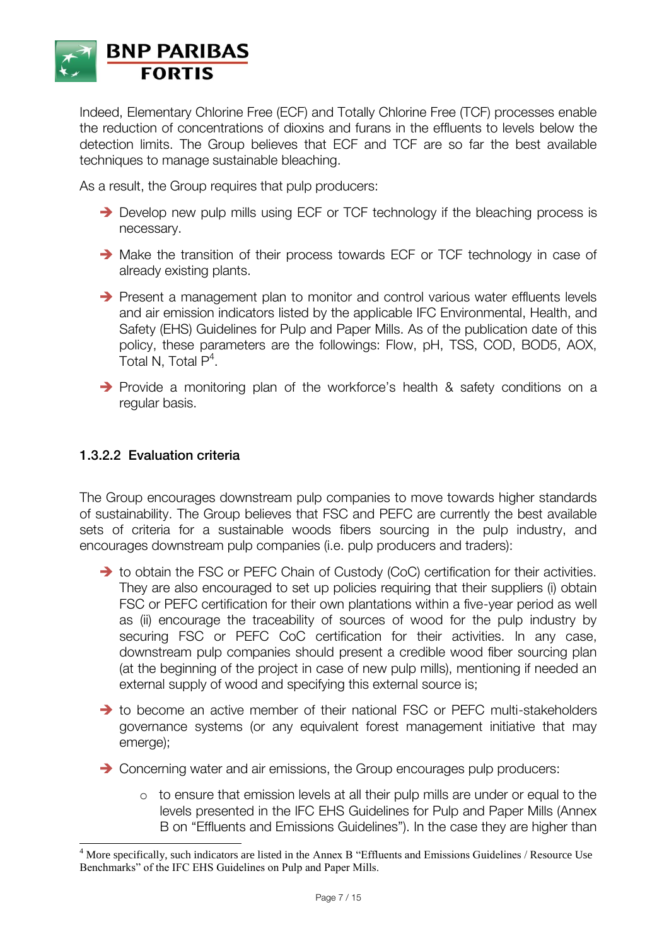

Indeed, Elementary Chlorine Free (ECF) and Totally Chlorine Free (TCF) processes enable the reduction of concentrations of dioxins and furans in the effluents to levels below the detection limits. The Group believes that ECF and TCF are so far the best available techniques to manage sustainable bleaching.

As a result, the Group requires that pulp producers:

- → Develop new pulp mills using ECF or TCF technology if the bleaching process is necessary.
- → Make the transition of their process towards ECF or TCF technology in case of already existing plants.
- $\rightarrow$  Present a management plan to monitor and control various water effluents levels and air emission indicators listed by the applicable IFC Environmental, Health, and Safety (EHS) Guidelines for Pulp and Paper Mills. As of the publication date of this policy, these parameters are the followings: Flow, pH, TSS, COD, BOD5, AOX, Total N, Total  $P^4$ .
- $\rightarrow$  Provide a monitoring plan of the workforce's health & safety conditions on a regular basis.

#### **1.3.2.2 Evaluation criteria**

 $\overline{a}$ 

The Group encourages downstream pulp companies to move towards higher standards of sustainability. The Group believes that FSC and PEFC are currently the best available sets of criteria for a sustainable woods fibers sourcing in the pulp industry, and encourages downstream pulp companies (i.e. pulp producers and traders):

- → to obtain the FSC or PEFC Chain of Custody (CoC) certification for their activities. They are also encouraged to set up policies requiring that their suppliers (i) obtain FSC or PEFC certification for their own plantations within a five-year period as well as (ii) encourage the traceability of sources of wood for the pulp industry by securing FSC or PEFC CoC certification for their activities. In any case, downstream pulp companies should present a credible wood fiber sourcing plan (at the beginning of the project in case of new pulp mills), mentioning if needed an external supply of wood and specifying this external source is;
- $\rightarrow$  to become an active member of their national FSC or PEFC multi-stakeholders governance systems (or any equivalent forest management initiative that may emerge);
- → Concerning water and air emissions, the Group encourages pulp producers:
	- o to ensure that emission levels at all their pulp mills are under or equal to the levels presented in the IFC EHS Guidelines for Pulp and Paper Mills (Annex B on "Effluents and Emissions Guidelines"). In the case they are higher than

<sup>4</sup> More specifically, such indicators are listed in the Annex B "Effluents and Emissions Guidelines / Resource Use Benchmarks" of the IFC EHS Guidelines on Pulp and Paper Mills.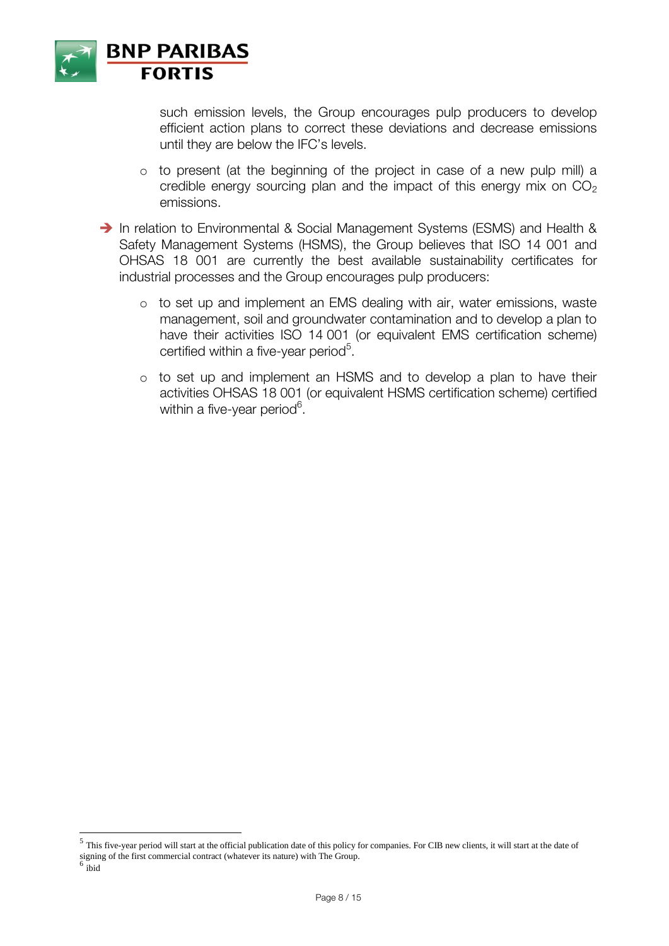

 $\overline{a}$ 

such emission levels, the Group encourages pulp producers to develop efficient action plans to correct these deviations and decrease emissions until they are below the IFC's levels.

o to present (at the beginning of the project in case of a new pulp mill) a credible energy sourcing plan and the impact of this energy mix on  $CO<sub>2</sub>$ emissions.

In relation to Environmental & Social Management Systems (ESMS) and Health & Safety Management Systems (HSMS), the Group believes that ISO 14 001 and OHSAS 18 001 are currently the best available sustainability certificates for industrial processes and the Group encourages pulp producers:

- o to set up and implement an EMS dealing with air, water emissions, waste management, soil and groundwater contamination and to develop a plan to have their activities ISO 14 001 (or equivalent EMS certification scheme) certified within a five-year period<sup>5</sup>.
- o to set up and implement an HSMS and to develop a plan to have their activities OHSAS 18 001 (or equivalent HSMS certification scheme) certified within a five-year period $^6$ .

<sup>&</sup>lt;sup>5</sup> This five-year period will start at the official publication date of this policy for companies. For CIB new clients, it will start at the date of signing of the first commercial contract (whatever its nature) with The Group. 6 ibid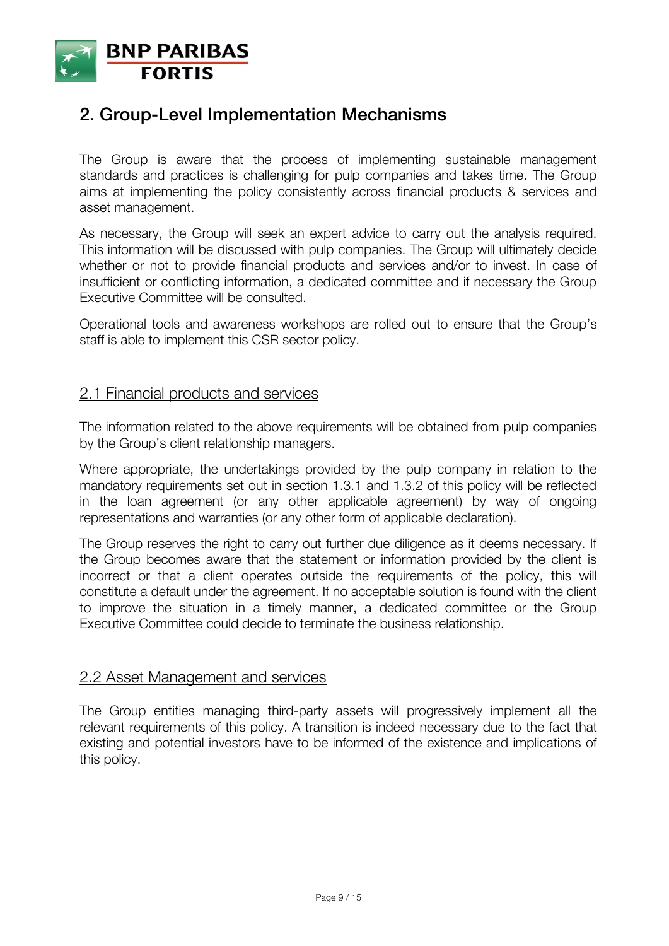

## **2. Group-Level Implementation Mechanisms**

The Group is aware that the process of implementing sustainable management standards and practices is challenging for pulp companies and takes time. The Group aims at implementing the policy consistently across financial products & services and asset management.

As necessary, the Group will seek an expert advice to carry out the analysis required. This information will be discussed with pulp companies. The Group will ultimately decide whether or not to provide financial products and services and/or to invest. In case of insufficient or conflicting information, a dedicated committee and if necessary the Group Executive Committee will be consulted.

Operational tools and awareness workshops are rolled out to ensure that the Group's staff is able to implement this CSR sector policy.

### 2.1 Financial products and services

The information related to the above requirements will be obtained from pulp companies by the Group's client relationship managers.

Where appropriate, the undertakings provided by the pulp company in relation to the mandatory requirements set out in section 1.3.1 and 1.3.2 of this policy will be reflected in the loan agreement (or any other applicable agreement) by way of ongoing representations and warranties (or any other form of applicable declaration).

The Group reserves the right to carry out further due diligence as it deems necessary. If the Group becomes aware that the statement or information provided by the client is incorrect or that a client operates outside the requirements of the policy, this will constitute a default under the agreement. If no acceptable solution is found with the client to improve the situation in a timely manner, a dedicated committee or the Group Executive Committee could decide to terminate the business relationship.

#### 2.2 Asset Management and services

The Group entities managing third-party assets will progressively implement all the relevant requirements of this policy. A transition is indeed necessary due to the fact that existing and potential investors have to be informed of the existence and implications of this policy.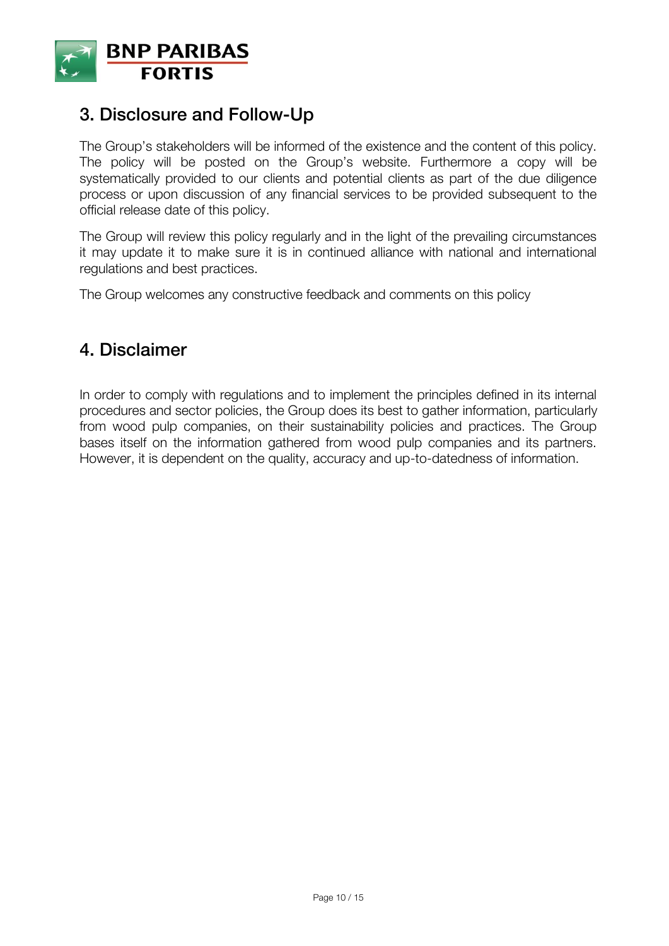

## **3. Disclosure and Follow-Up**

The Group's stakeholders will be informed of the existence and the content of this policy. The policy will be posted on the Group's website. Furthermore a copy will be systematically provided to our clients and potential clients as part of the due diligence process or upon discussion of any financial services to be provided subsequent to the official release date of this policy.

The Group will review this policy regularly and in the light of the prevailing circumstances it may update it to make sure it is in continued alliance with national and international regulations and best practices.

The Group welcomes any constructive feedback and comments on this policy

## **4. Disclaimer**

In order to comply with regulations and to implement the principles defined in its internal procedures and sector policies, the Group does its best to gather information, particularly from wood pulp companies, on their sustainability policies and practices. The Group bases itself on the information gathered from wood pulp companies and its partners. However, it is dependent on the quality, accuracy and up-to-datedness of information.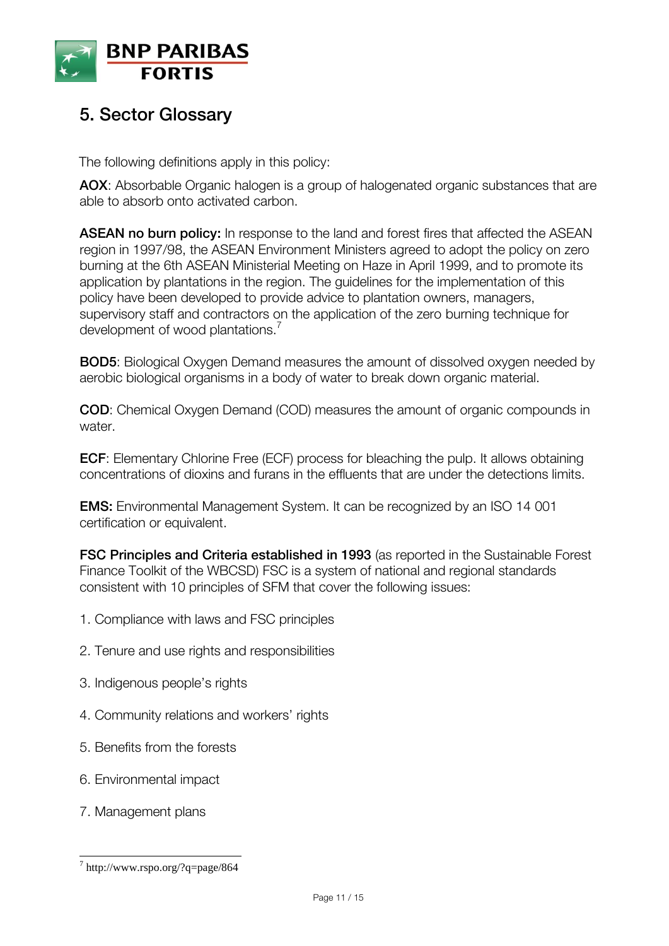

# **5. Sector Glossary**

The following definitions apply in this policy:

**AOX**: Absorbable Organic halogen is a group of halogenated organic substances that are able to absorb onto [activated carbon.](http://en.wikipedia.org/wiki/Activated_carbon)

**ASEAN no burn policy:** In response to the land and forest fires that affected the ASEAN region in 1997/98, the ASEAN Environment Ministers agreed to adopt the policy on zero burning at the 6th ASEAN Ministerial Meeting on Haze in April 1999, and to promote its application by plantations in the region. The guidelines for the implementation of this policy have been developed to provide advice to plantation owners, managers, supervisory staff and contractors on the application of the zero burning technique for development of wood plantations.<sup>7</sup>

**BOD5**: Biological Oxygen Demand measures the amount of [dissolved oxygen](http://en.wikipedia.org/wiki/Oxygenation_(environmental)) needed by aerobic biological organisms in a body of water to break down organic material.

**COD**: Chemical Oxygen Demand (COD) measures the amount of [organic compounds](http://en.wikipedia.org/wiki/Organic_compound) in [water.](http://en.wikipedia.org/wiki/Water)

**ECF**: Elementary Chlorine Free (ECF) process for bleaching the pulp. It allows obtaining concentrations of dioxins and furans in the effluents that are under the detections limits.

**EMS:** Environmental Management System. It can be recognized by an ISO 14 001 certification or equivalent.

**FSC Principles and Criteria established in 1993** (as reported in the Sustainable Forest Finance Toolkit of the WBCSD) FSC is a system of national and regional standards consistent with 10 principles of SFM that cover the following issues:

- 1. Compliance with laws and FSC principles
- 2. Tenure and use rights and responsibilities
- 3. Indigenous people's rights
- 4. Community relations and workers' rights
- 5. Benefits from the forests
- 6. Environmental impact
- 7. Management plans

<sup>7</sup> http://www.rspo.org/?q=page/864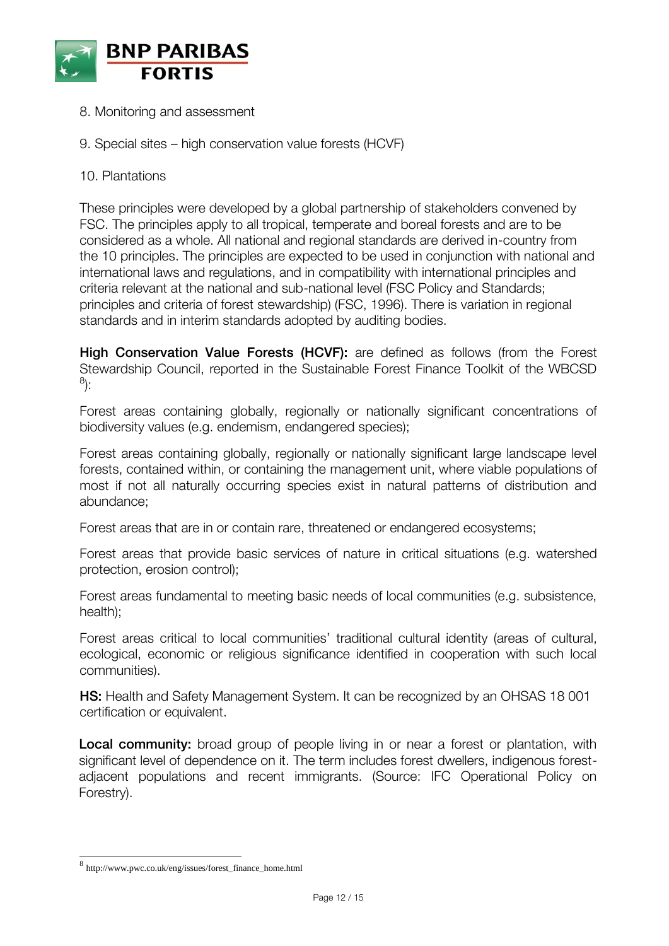

- 8. Monitoring and assessment
- 9. Special sites high conservation value forests (HCVF)
- 10. Plantations

These principles were developed by a global partnership of stakeholders convened by FSC. The principles apply to all tropical, temperate and boreal forests and are to be considered as a whole. All national and regional standards are derived in-country from the 10 principles. The principles are expected to be used in conjunction with national and international laws and regulations, and in compatibility with international principles and criteria relevant at the national and sub-national level (FSC Policy and Standards; principles and criteria of forest stewardship) (FSC, 1996). There is variation in regional standards and in interim standards adopted by auditing bodies.

**High Conservation Value Forests (HCVF):** are defined as follows (from the Forest Stewardship Council, reported in the Sustainable Forest Finance Toolkit of the WBCSD 8 ):

Forest areas containing globally, regionally or nationally significant concentrations of biodiversity values (e.g. endemism, endangered species);

Forest areas containing globally, regionally or nationally significant large landscape level forests, contained within, or containing the management unit, where viable populations of most if not all naturally occurring species exist in natural patterns of distribution and abundance;

Forest areas that are in or contain rare, threatened or endangered ecosystems;

Forest areas that provide basic services of nature in critical situations (e.g. watershed protection, erosion control);

Forest areas fundamental to meeting basic needs of local communities (e.g. subsistence, health);

Forest areas critical to local communities' traditional cultural identity (areas of cultural, ecological, economic or religious significance identified in cooperation with such local communities).

**HS:** Health and Safety Management System. It can be recognized by an OHSAS 18 001 certification or equivalent.

**Local community:** broad group of people living in or near a forest or plantation, with significant level of dependence on it. The term includes forest dwellers, indigenous forestadjacent populations and recent immigrants. (Source: IFC Operational Policy on Forestry).

<sup>8</sup> http://www.pwc.co.uk/eng/issues/forest\_finance\_home.html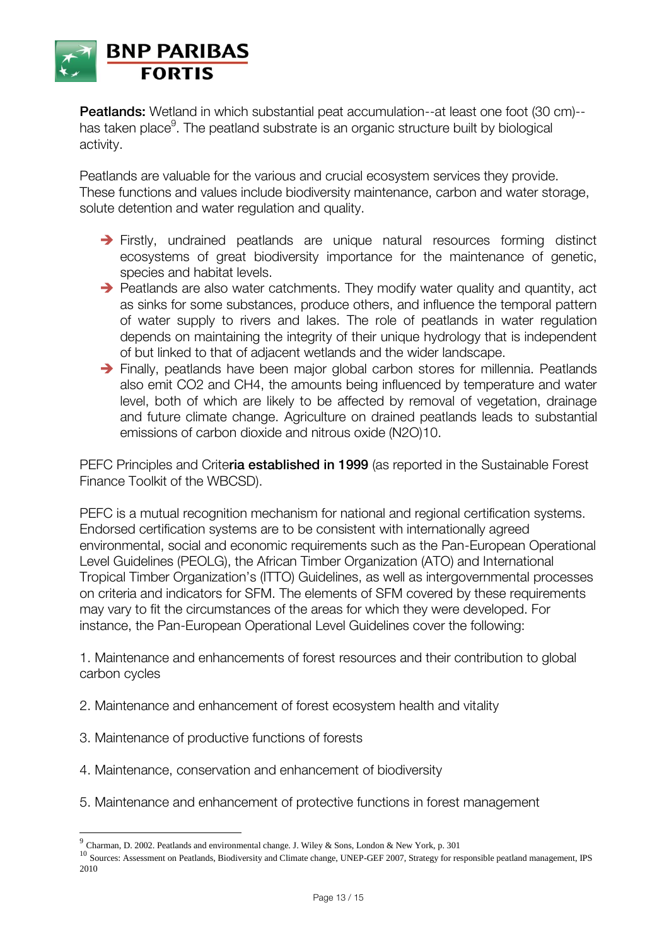

**Peatlands:** Wetland in which substantial peat accumulation--at least one foot (30 cm)-has taken place $^9$ . The peatland substrate is an organic structure built by biological activity.

Peatlands are valuable for the various and crucial ecosystem services they provide. These functions and values include biodiversity maintenance, carbon and water storage, solute detention and water regulation and quality.

- Firstly, undrained peatlands are unique natural resources forming distinct ecosystems of great biodiversity importance for the maintenance of genetic, species and habitat levels.
- $\rightarrow$  Peatlands are also water catchments. They modify water quality and quantity, act as sinks for some substances, produce others, and influence the temporal pattern of water supply to rivers and lakes. The role of peatlands in water regulation depends on maintaining the integrity of their unique hydrology that is independent of but linked to that of adjacent wetlands and the wider landscape.
- → Finally, peatlands have been major global carbon stores for millennia. Peatlands also emit CO2 and CH4, the amounts being influenced by temperature and water level, both of which are likely to be affected by removal of vegetation, drainage and future climate change. Agriculture on drained peatlands leads to substantial emissions of carbon dioxide and nitrous oxide (N2O)10.

PEFC Principles and Crite**ria established in 1999** (as reported in the Sustainable Forest Finance Toolkit of the WBCSD).

PEFC is a mutual recognition mechanism for national and regional certification systems. Endorsed certification systems are to be consistent with internationally agreed environmental, social and economic requirements such as the Pan-European Operational Level Guidelines (PEOLG), the African Timber Organization (ATO) and International Tropical Timber Organization's (ITTO) Guidelines, as well as intergovernmental processes on criteria and indicators for SFM. The elements of SFM covered by these requirements may vary to fit the circumstances of the areas for which they were developed. For instance, the Pan-European Operational Level Guidelines cover the following:

1. Maintenance and enhancements of forest resources and their contribution to global carbon cycles

- 2. Maintenance and enhancement of forest ecosystem health and vitality
- 3. Maintenance of productive functions of forests
- 4. Maintenance, conservation and enhancement of biodiversity
- 5. Maintenance and enhancement of protective functions in forest management

 9 Charman, D. 2002. Peatlands and environmental change. J. Wiley & Sons, London & New York, p. 301

<sup>&</sup>lt;sup>10</sup> Sources: Assessment on Peatlands, Biodiversity and Climate change, UNEP-GEF 2007, Strategy for responsible peatland management, IPS 2010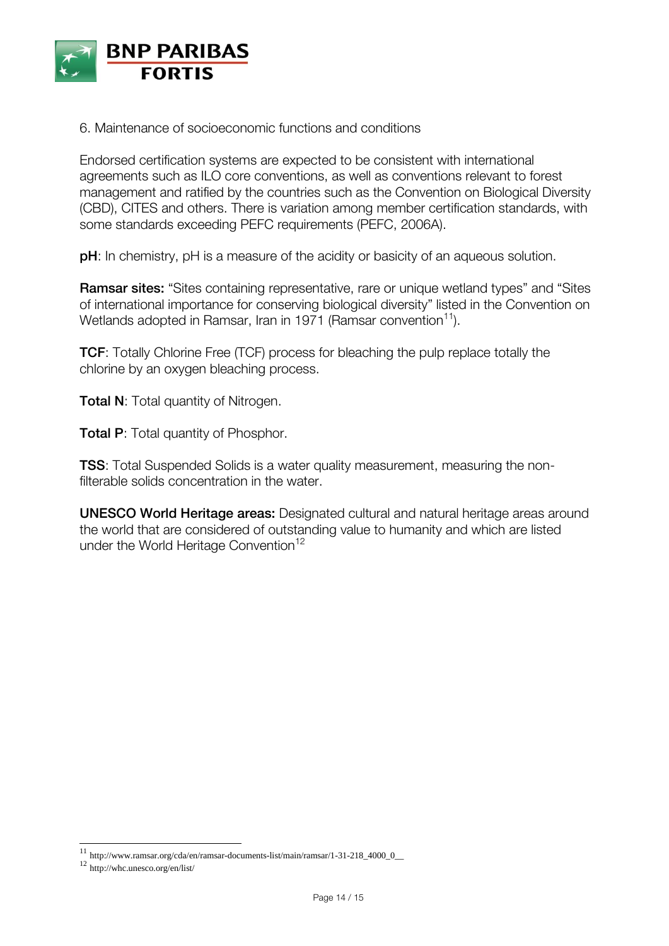

6. Maintenance of socioeconomic functions and conditions

Endorsed certification systems are expected to be consistent with international agreements such as ILO core conventions, as well as conventions relevant to forest management and ratified by the countries such as the Convention on Biological Diversity (CBD), CITES and others. There is variation among member certification standards, with some standards exceeding PEFC requirements (PEFC, 2006A).

**pH**: In [chemistry,](http://en.wikipedia.org/wiki/Chemistry) pH is a measure of the [acidity](http://en.wikipedia.org/wiki/Acid) or [basicity](http://en.wikipedia.org/wiki/Base_(chemistry)) of an [aqueous solution.](http://en.wikipedia.org/wiki/Aqueous_solution)

**Ramsar sites:** "Sites containing representative, rare or unique wetland types" and "Sites of international importance for conserving biological diversity" listed in the Convention on Wetlands adopted in Ramsar, Iran in 1971 (Ramsar convention<sup>11</sup>).

**TCF**: Totally Chlorine Free (TCF) process for bleaching the pulp replace totally the chlorine by an oxygen bleaching process.

**Total N:** Total quantity of Nitrogen.

**Total P:** Total quantity of Phosphor.

**TSS**: Total Suspended Solids is a [water quality](http://en.wikipedia.org/wiki/Water_quality) measurement, measuring the nonfilterable solids concentration in the water.

**UNESCO World Heritage areas:** Designated cultural and natural heritage areas around the world that are considered of outstanding value to humanity and which are listed under the World Heritage Convention<sup>12</sup>

<sup>11</sup> http://www.ramsar.org/cda/en/ramsar-documents-list/main/ramsar/1-31-218\_4000\_0\_\_

<sup>12</sup> http://whc.unesco.org/en/list/